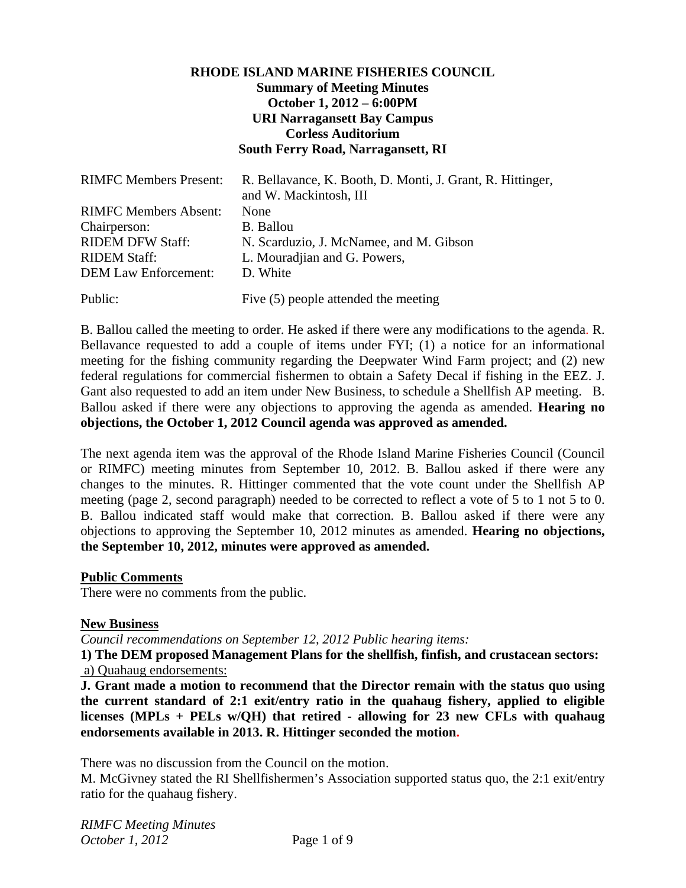# **RHODE ISLAND MARINE FISHERIES COUNCIL Summary of Meeting Minutes October 1, 2012 – 6:00PM URI Narragansett Bay Campus Corless Auditorium South Ferry Road, Narragansett, RI**

| <b>RIMFC Members Present:</b> | R. Bellavance, K. Booth, D. Monti, J. Grant, R. Hittinger,<br>and W. Mackintosh, III |
|-------------------------------|--------------------------------------------------------------------------------------|
| <b>RIMFC Members Absent:</b>  | None                                                                                 |
| Chairperson:                  | <b>B.</b> Ballou                                                                     |
| <b>RIDEM DFW Staff:</b>       | N. Scarduzio, J. McNamee, and M. Gibson                                              |
| <b>RIDEM Staff:</b>           | L. Mouradjian and G. Powers,                                                         |
| <b>DEM Law Enforcement:</b>   | D. White                                                                             |
| Public:                       | Five $(5)$ people attended the meeting                                               |

B. Ballou called the meeting to order. He asked if there were any modifications to the agenda. R. Bellavance requested to add a couple of items under FYI; (1) a notice for an informational meeting for the fishing community regarding the Deepwater Wind Farm project; and (2) new federal regulations for commercial fishermen to obtain a Safety Decal if fishing in the EEZ. J. Gant also requested to add an item under New Business, to schedule a Shellfish AP meeting. B. Ballou asked if there were any objections to approving the agenda as amended. **Hearing no objections, the October 1, 2012 Council agenda was approved as amended.**

The next agenda item was the approval of the Rhode Island Marine Fisheries Council (Council or RIMFC) meeting minutes from September 10, 2012. B. Ballou asked if there were any changes to the minutes. R. Hittinger commented that the vote count under the Shellfish AP meeting (page 2, second paragraph) needed to be corrected to reflect a vote of 5 to 1 not 5 to 0. B. Ballou indicated staff would make that correction. B. Ballou asked if there were any objections to approving the September 10, 2012 minutes as amended. **Hearing no objections, the September 10, 2012, minutes were approved as amended.** 

### **Public Comments**

There were no comments from the public.

### **New Business**

*Council recommendations on September 12, 2012 Public hearing items:* 

**1) The DEM proposed Management Plans for the shellfish, finfish, and crustacean sectors:**  a) Quahaug endorsements:

**J. Grant made a motion to recommend that the Director remain with the status quo using the current standard of 2:1 exit/entry ratio in the quahaug fishery, applied to eligible licenses (MPLs + PELs w/QH) that retired - allowing for 23 new CFLs with quahaug endorsements available in 2013. R. Hittinger seconded the motion.**

There was no discussion from the Council on the motion.

M. McGivney stated the RI Shellfishermen's Association supported status quo, the 2:1 exit/entry ratio for the quahaug fishery.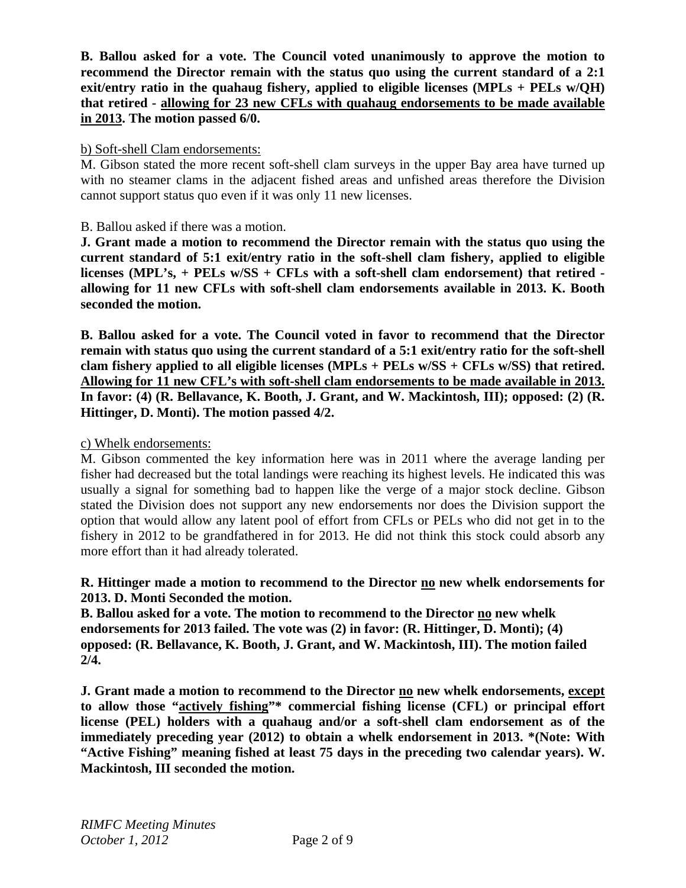**B. Ballou asked for a vote. The Council voted unanimously to approve the motion to recommend the Director remain with the status quo using the current standard of a 2:1 exit/entry ratio in the quahaug fishery, applied to eligible licenses (MPLs + PELs w/QH) that retired - allowing for 23 new CFLs with quahaug endorsements to be made available in 2013. The motion passed 6/0.** 

### b) Soft-shell Clam endorsements:

M. Gibson stated the more recent soft-shell clam surveys in the upper Bay area have turned up with no steamer clams in the adjacent fished areas and unfished areas therefore the Division cannot support status quo even if it was only 11 new licenses.

B. Ballou asked if there was a motion.

**J. Grant made a motion to recommend the Director remain with the status quo using the current standard of 5:1 exit/entry ratio in the soft-shell clam fishery, applied to eligible licenses (MPL's, + PELs w/SS + CFLs with a soft-shell clam endorsement) that retired allowing for 11 new CFLs with soft-shell clam endorsements available in 2013. K. Booth seconded the motion.**

**B. Ballou asked for a vote. The Council voted in favor to recommend that the Director remain with status quo using the current standard of a 5:1 exit/entry ratio for the soft-shell clam fishery applied to all eligible licenses (MPLs + PELs w/SS + CFLs w/SS) that retired. Allowing for 11 new CFL's with soft-shell clam endorsements to be made available in 2013. In favor: (4) (R. Bellavance, K. Booth, J. Grant, and W. Mackintosh, III); opposed: (2) (R. Hittinger, D. Monti). The motion passed 4/2.** 

### c) Whelk endorsements:

M. Gibson commented the key information here was in 2011 where the average landing per fisher had decreased but the total landings were reaching its highest levels. He indicated this was usually a signal for something bad to happen like the verge of a major stock decline. Gibson stated the Division does not support any new endorsements nor does the Division support the option that would allow any latent pool of effort from CFLs or PELs who did not get in to the fishery in 2012 to be grandfathered in for 2013. He did not think this stock could absorb any more effort than it had already tolerated.

## **R. Hittinger made a motion to recommend to the Director no new whelk endorsements for 2013. D. Monti Seconded the motion.**

**B. Ballou asked for a vote. The motion to recommend to the Director no new whelk endorsements for 2013 failed. The vote was (2) in favor: (R. Hittinger, D. Monti); (4) opposed: (R. Bellavance, K. Booth, J. Grant, and W. Mackintosh, III). The motion failed 2/4.** 

**J. Grant made a motion to recommend to the Director no new whelk endorsements, except to allow those "actively fishing"\* commercial fishing license (CFL) or principal effort license (PEL) holders with a quahaug and/or a soft-shell clam endorsement as of the immediately preceding year (2012) to obtain a whelk endorsement in 2013. \*(Note: With "Active Fishing" meaning fished at least 75 days in the preceding two calendar years). W. Mackintosh, III seconded the motion.**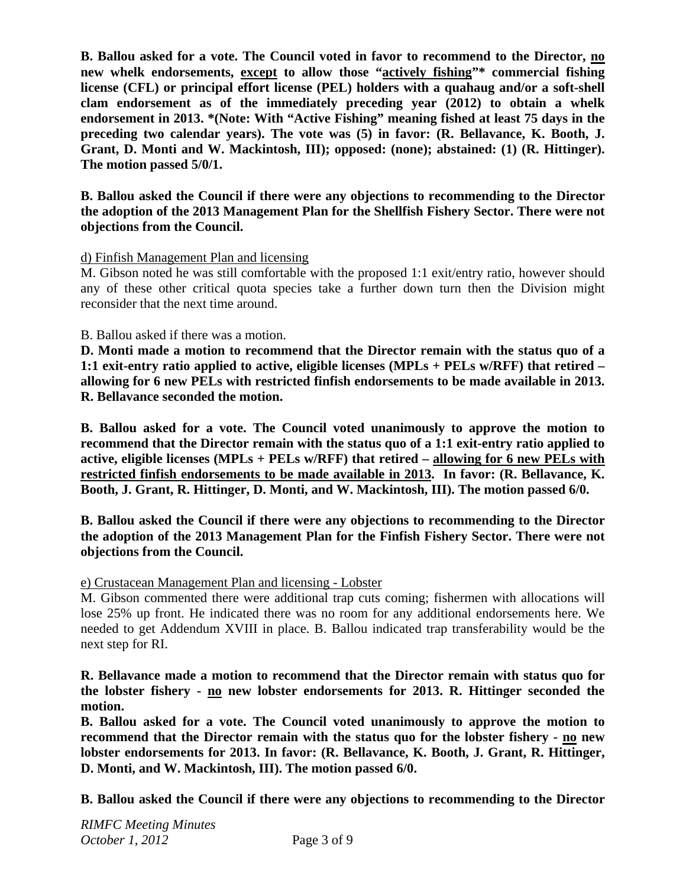**B. Ballou asked for a vote. The Council voted in favor to recommend to the Director, no new whelk endorsements, except to allow those "actively fishing"\* commercial fishing license (CFL) or principal effort license (PEL) holders with a quahaug and/or a soft-shell clam endorsement as of the immediately preceding year (2012) to obtain a whelk endorsement in 2013. \*(Note: With "Active Fishing" meaning fished at least 75 days in the preceding two calendar years). The vote was (5) in favor: (R. Bellavance, K. Booth, J. Grant, D. Monti and W. Mackintosh, III); opposed: (none); abstained: (1) (R. Hittinger). The motion passed 5/0/1.** 

**B. Ballou asked the Council if there were any objections to recommending to the Director the adoption of the 2013 Management Plan for the Shellfish Fishery Sector. There were not objections from the Council.** 

## d) Finfish Management Plan and licensing

M. Gibson noted he was still comfortable with the proposed 1:1 exit/entry ratio, however should any of these other critical quota species take a further down turn then the Division might reconsider that the next time around.

## B. Ballou asked if there was a motion.

**D. Monti made a motion to recommend that the Director remain with the status quo of a 1:1 exit-entry ratio applied to active, eligible licenses (MPLs + PELs w/RFF) that retired – allowing for 6 new PELs with restricted finfish endorsements to be made available in 2013. R. Bellavance seconded the motion.** 

**B. Ballou asked for a vote. The Council voted unanimously to approve the motion to recommend that the Director remain with the status quo of a 1:1 exit-entry ratio applied to active, eligible licenses (MPLs + PELs w/RFF) that retired – allowing for 6 new PELs with restricted finfish endorsements to be made available in 2013. In favor: (R. Bellavance, K. Booth, J. Grant, R. Hittinger, D. Monti, and W. Mackintosh, III). The motion passed 6/0.** 

**B. Ballou asked the Council if there were any objections to recommending to the Director the adoption of the 2013 Management Plan for the Finfish Fishery Sector. There were not objections from the Council.** 

### e) Crustacean Management Plan and licensing - Lobster

M. Gibson commented there were additional trap cuts coming; fishermen with allocations will lose 25% up front. He indicated there was no room for any additional endorsements here. We needed to get Addendum XVIII in place. B. Ballou indicated trap transferability would be the next step for RI.

**R. Bellavance made a motion to recommend that the Director remain with status quo for the lobster fishery - no new lobster endorsements for 2013. R. Hittinger seconded the motion.** 

**B. Ballou asked for a vote. The Council voted unanimously to approve the motion to recommend that the Director remain with the status quo for the lobster fishery - no new lobster endorsements for 2013. In favor: (R. Bellavance, K. Booth, J. Grant, R. Hittinger, D. Monti, and W. Mackintosh, III). The motion passed 6/0.** 

**B. Ballou asked the Council if there were any objections to recommending to the Director**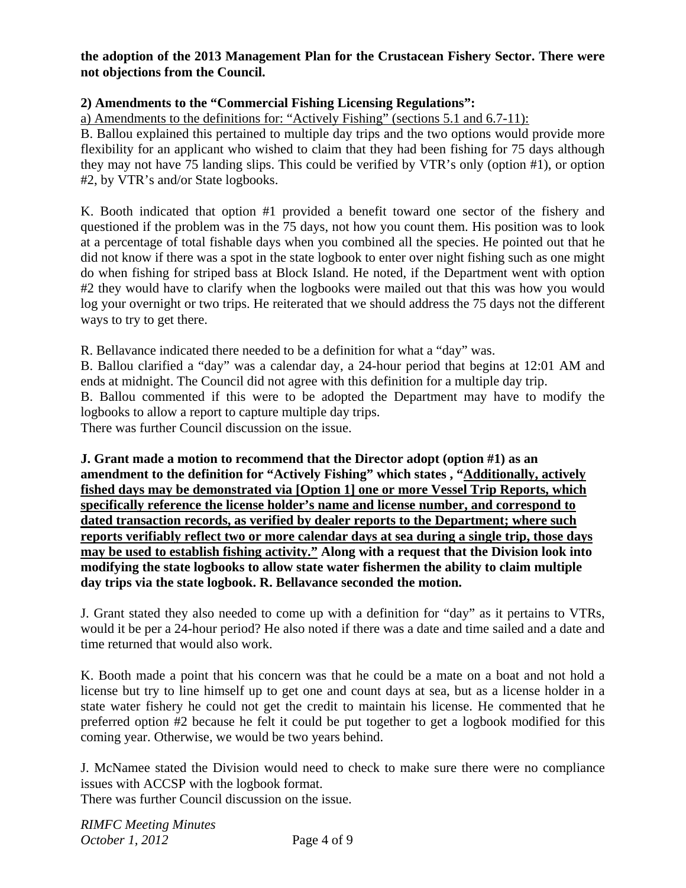## **the adoption of the 2013 Management Plan for the Crustacean Fishery Sector. There were not objections from the Council.**

## **2) Amendments to the "Commercial Fishing Licensing Regulations":**

a) Amendments to the definitions for: "Actively Fishing" (sections 5.1 and 6.7-11):

B. Ballou explained this pertained to multiple day trips and the two options would provide more flexibility for an applicant who wished to claim that they had been fishing for 75 days although they may not have 75 landing slips. This could be verified by VTR's only (option #1), or option #2, by VTR's and/or State logbooks.

K. Booth indicated that option #1 provided a benefit toward one sector of the fishery and questioned if the problem was in the 75 days, not how you count them. His position was to look at a percentage of total fishable days when you combined all the species. He pointed out that he did not know if there was a spot in the state logbook to enter over night fishing such as one might do when fishing for striped bass at Block Island. He noted, if the Department went with option #2 they would have to clarify when the logbooks were mailed out that this was how you would log your overnight or two trips. He reiterated that we should address the 75 days not the different ways to try to get there.

R. Bellavance indicated there needed to be a definition for what a "day" was.

B. Ballou clarified a "day" was a calendar day, a 24-hour period that begins at 12:01 AM and ends at midnight. The Council did not agree with this definition for a multiple day trip.

B. Ballou commented if this were to be adopted the Department may have to modify the logbooks to allow a report to capture multiple day trips.

There was further Council discussion on the issue.

**J. Grant made a motion to recommend that the Director adopt (option #1) as an amendment to the definition for "Actively Fishing" which states , "Additionally, actively fished days may be demonstrated via [Option 1] one or more Vessel Trip Reports, which specifically reference the license holder's name and license number, and correspond to dated transaction records, as verified by dealer reports to the Department; where such reports verifiably reflect two or more calendar days at sea during a single trip, those days may be used to establish fishing activity." Along with a request that the Division look into modifying the state logbooks to allow state water fishermen the ability to claim multiple day trips via the state logbook. R. Bellavance seconded the motion.**

J. Grant stated they also needed to come up with a definition for "day" as it pertains to VTRs, would it be per a 24-hour period? He also noted if there was a date and time sailed and a date and time returned that would also work.

K. Booth made a point that his concern was that he could be a mate on a boat and not hold a license but try to line himself up to get one and count days at sea, but as a license holder in a state water fishery he could not get the credit to maintain his license. He commented that he preferred option #2 because he felt it could be put together to get a logbook modified for this coming year. Otherwise, we would be two years behind.

J. McNamee stated the Division would need to check to make sure there were no compliance issues with ACCSP with the logbook format.

There was further Council discussion on the issue.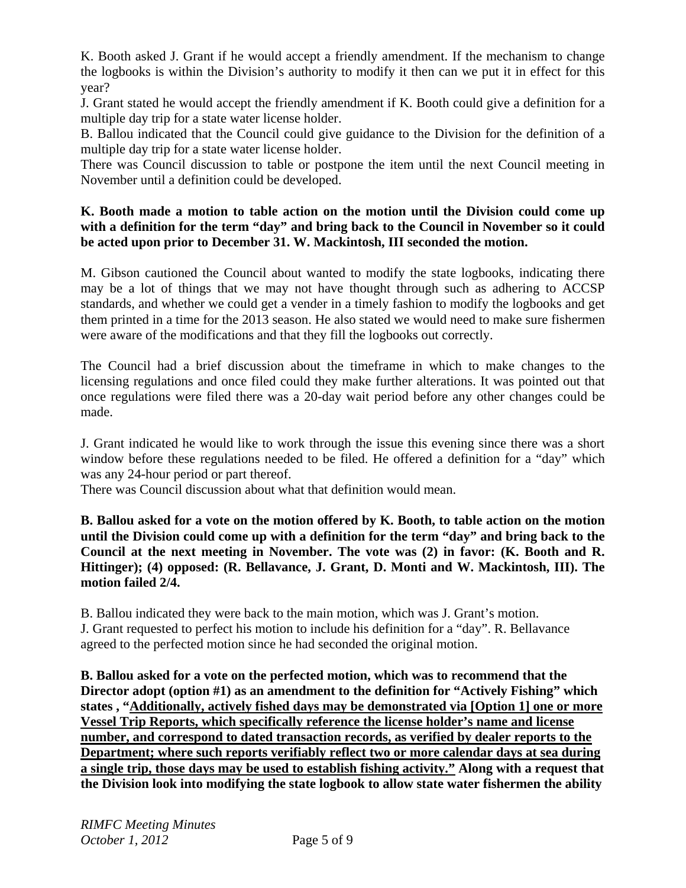K. Booth asked J. Grant if he would accept a friendly amendment. If the mechanism to change the logbooks is within the Division's authority to modify it then can we put it in effect for this year?

J. Grant stated he would accept the friendly amendment if K. Booth could give a definition for a multiple day trip for a state water license holder.

B. Ballou indicated that the Council could give guidance to the Division for the definition of a multiple day trip for a state water license holder.

There was Council discussion to table or postpone the item until the next Council meeting in November until a definition could be developed.

# **K. Booth made a motion to table action on the motion until the Division could come up**  with a definition for the term "day" and bring back to the Council in November so it could **be acted upon prior to December 31. W. Mackintosh, III seconded the motion.**

M. Gibson cautioned the Council about wanted to modify the state logbooks, indicating there may be a lot of things that we may not have thought through such as adhering to ACCSP standards, and whether we could get a vender in a timely fashion to modify the logbooks and get them printed in a time for the 2013 season. He also stated we would need to make sure fishermen were aware of the modifications and that they fill the logbooks out correctly.

The Council had a brief discussion about the timeframe in which to make changes to the licensing regulations and once filed could they make further alterations. It was pointed out that once regulations were filed there was a 20-day wait period before any other changes could be made.

J. Grant indicated he would like to work through the issue this evening since there was a short window before these regulations needed to be filed. He offered a definition for a "day" which was any 24-hour period or part thereof.

There was Council discussion about what that definition would mean.

**B. Ballou asked for a vote on the motion offered by K. Booth, to table action on the motion until the Division could come up with a definition for the term "day" and bring back to the Council at the next meeting in November. The vote was (2) in favor: (K. Booth and R. Hittinger); (4) opposed: (R. Bellavance, J. Grant, D. Monti and W. Mackintosh, III). The motion failed 2/4.** 

B. Ballou indicated they were back to the main motion, which was J. Grant's motion. J. Grant requested to perfect his motion to include his definition for a "day". R. Bellavance agreed to the perfected motion since he had seconded the original motion.

**B. Ballou asked for a vote on the perfected motion, which was to recommend that the Director adopt (option #1) as an amendment to the definition for "Actively Fishing" which states , "Additionally, actively fished days may be demonstrated via [Option 1] one or more Vessel Trip Reports, which specifically reference the license holder's name and license number, and correspond to dated transaction records, as verified by dealer reports to the Department; where such reports verifiably reflect two or more calendar days at sea during a single trip, those days may be used to establish fishing activity." Along with a request that the Division look into modifying the state logbook to allow state water fishermen the ability**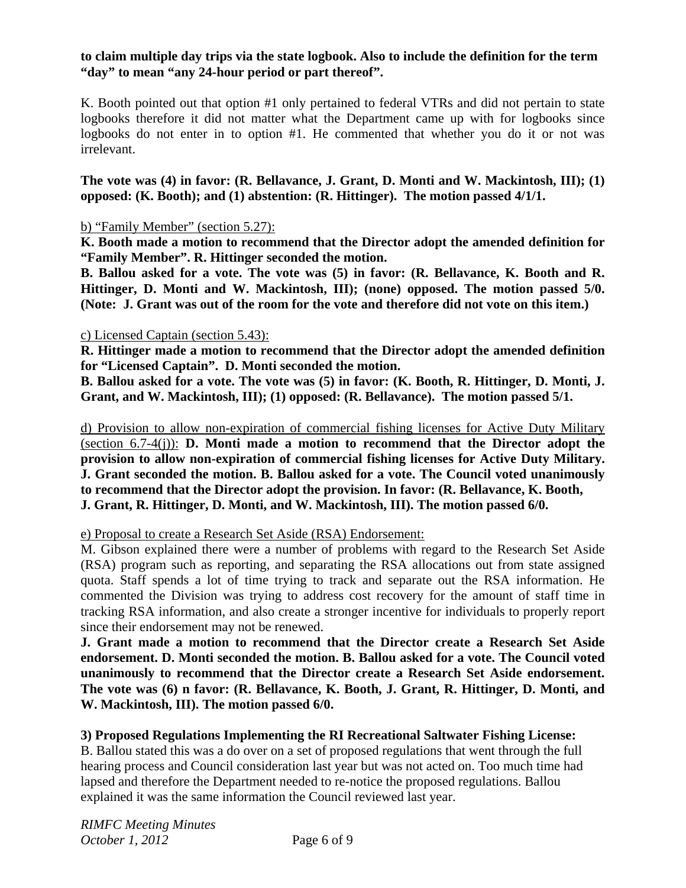### **to claim multiple day trips via the state logbook. Also to include the definition for the term "day" to mean "any 24-hour period or part thereof".**

K. Booth pointed out that option #1 only pertained to federal VTRs and did not pertain to state logbooks therefore it did not matter what the Department came up with for logbooks since logbooks do not enter in to option #1. He commented that whether you do it or not was irrelevant.

**The vote was (4) in favor: (R. Bellavance, J. Grant, D. Monti and W. Mackintosh, III); (1) opposed: (K. Booth); and (1) abstention: (R. Hittinger). The motion passed 4/1/1.** 

b) "Family Member" (section 5.27):

**K. Booth made a motion to recommend that the Director adopt the amended definition for "Family Member". R. Hittinger seconded the motion.** 

**B. Ballou asked for a vote. The vote was (5) in favor: (R. Bellavance, K. Booth and R. Hittinger, D. Monti and W. Mackintosh, III); (none) opposed. The motion passed 5/0. (Note: J. Grant was out of the room for the vote and therefore did not vote on this item.)** 

## c) Licensed Captain (section 5.43):

**R. Hittinger made a motion to recommend that the Director adopt the amended definition for "Licensed Captain". D. Monti seconded the motion.** 

**B. Ballou asked for a vote. The vote was (5) in favor: (K. Booth, R. Hittinger, D. Monti, J. Grant, and W. Mackintosh, III); (1) opposed: (R. Bellavance). The motion passed 5/1.** 

d) Provision to allow non-expiration of commercial fishing licenses for Active Duty Military (section 6.7-4(j)): **D. Monti made a motion to recommend that the Director adopt the provision to allow non-expiration of commercial fishing licenses for Active Duty Military. J. Grant seconded the motion. B. Ballou asked for a vote. The Council voted unanimously to recommend that the Director adopt the provision. In favor: (R. Bellavance, K. Booth, J. Grant, R. Hittinger, D. Monti, and W. Mackintosh, III). The motion passed 6/0.** 

e) Proposal to create a Research Set Aside (RSA) Endorsement:

M. Gibson explained there were a number of problems with regard to the Research Set Aside (RSA) program such as reporting, and separating the RSA allocations out from state assigned quota. Staff spends a lot of time trying to track and separate out the RSA information. He commented the Division was trying to address cost recovery for the amount of staff time in tracking RSA information, and also create a stronger incentive for individuals to properly report since their endorsement may not be renewed.

**J. Grant made a motion to recommend that the Director create a Research Set Aside endorsement. D. Monti seconded the motion. B. Ballou asked for a vote. The Council voted unanimously to recommend that the Director create a Research Set Aside endorsement. The vote was (6) n favor: (R. Bellavance, K. Booth, J. Grant, R. Hittinger, D. Monti, and W. Mackintosh, III). The motion passed 6/0.** 

# **3) Proposed Regulations Implementing the RI Recreational Saltwater Fishing License:**

B. Ballou stated this was a do over on a set of proposed regulations that went through the full hearing process and Council consideration last year but was not acted on. Too much time had lapsed and therefore the Department needed to re-notice the proposed regulations. Ballou explained it was the same information the Council reviewed last year.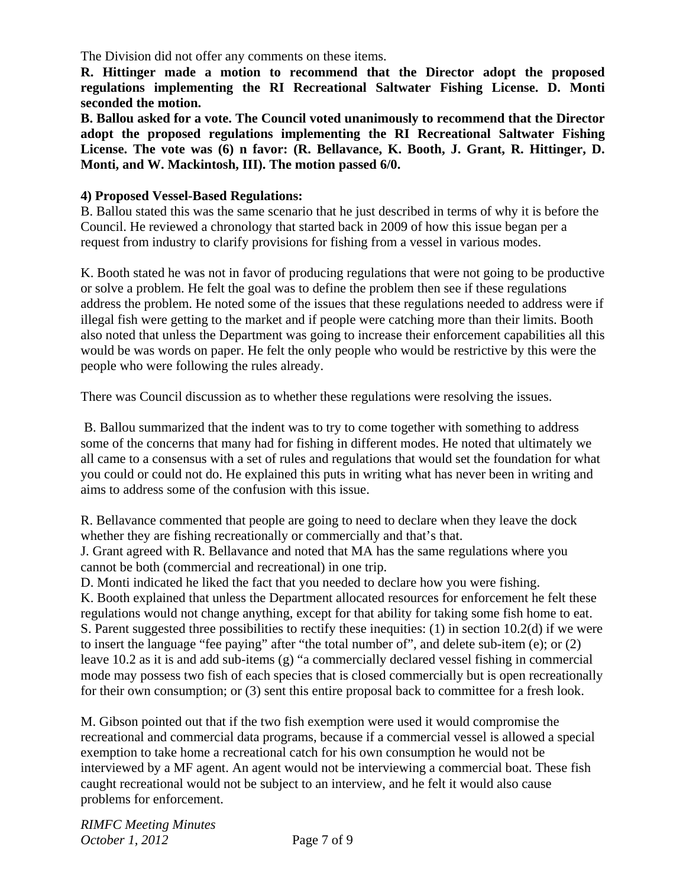The Division did not offer any comments on these items.

**R. Hittinger made a motion to recommend that the Director adopt the proposed regulations implementing the RI Recreational Saltwater Fishing License. D. Monti seconded the motion.** 

**B. Ballou asked for a vote. The Council voted unanimously to recommend that the Director adopt the proposed regulations implementing the RI Recreational Saltwater Fishing License. The vote was (6) n favor: (R. Bellavance, K. Booth, J. Grant, R. Hittinger, D. Monti, and W. Mackintosh, III). The motion passed 6/0.** 

#### **4) Proposed Vessel-Based Regulations:**

B. Ballou stated this was the same scenario that he just described in terms of why it is before the Council. He reviewed a chronology that started back in 2009 of how this issue began per a request from industry to clarify provisions for fishing from a vessel in various modes.

K. Booth stated he was not in favor of producing regulations that were not going to be productive or solve a problem. He felt the goal was to define the problem then see if these regulations address the problem. He noted some of the issues that these regulations needed to address were if illegal fish were getting to the market and if people were catching more than their limits. Booth also noted that unless the Department was going to increase their enforcement capabilities all this would be was words on paper. He felt the only people who would be restrictive by this were the people who were following the rules already.

There was Council discussion as to whether these regulations were resolving the issues.

 B. Ballou summarized that the indent was to try to come together with something to address some of the concerns that many had for fishing in different modes. He noted that ultimately we all came to a consensus with a set of rules and regulations that would set the foundation for what you could or could not do. He explained this puts in writing what has never been in writing and aims to address some of the confusion with this issue.

R. Bellavance commented that people are going to need to declare when they leave the dock whether they are fishing recreationally or commercially and that's that.

J. Grant agreed with R. Bellavance and noted that MA has the same regulations where you cannot be both (commercial and recreational) in one trip.

D. Monti indicated he liked the fact that you needed to declare how you were fishing.

K. Booth explained that unless the Department allocated resources for enforcement he felt these regulations would not change anything, except for that ability for taking some fish home to eat. S. Parent suggested three possibilities to rectify these inequities: (1) in section 10.2(d) if we were to insert the language "fee paying" after "the total number of", and delete sub-item (e); or (2) leave 10.2 as it is and add sub-items (g) "a commercially declared vessel fishing in commercial mode may possess two fish of each species that is closed commercially but is open recreationally for their own consumption; or (3) sent this entire proposal back to committee for a fresh look.

M. Gibson pointed out that if the two fish exemption were used it would compromise the recreational and commercial data programs, because if a commercial vessel is allowed a special exemption to take home a recreational catch for his own consumption he would not be interviewed by a MF agent. An agent would not be interviewing a commercial boat. These fish caught recreational would not be subject to an interview, and he felt it would also cause problems for enforcement.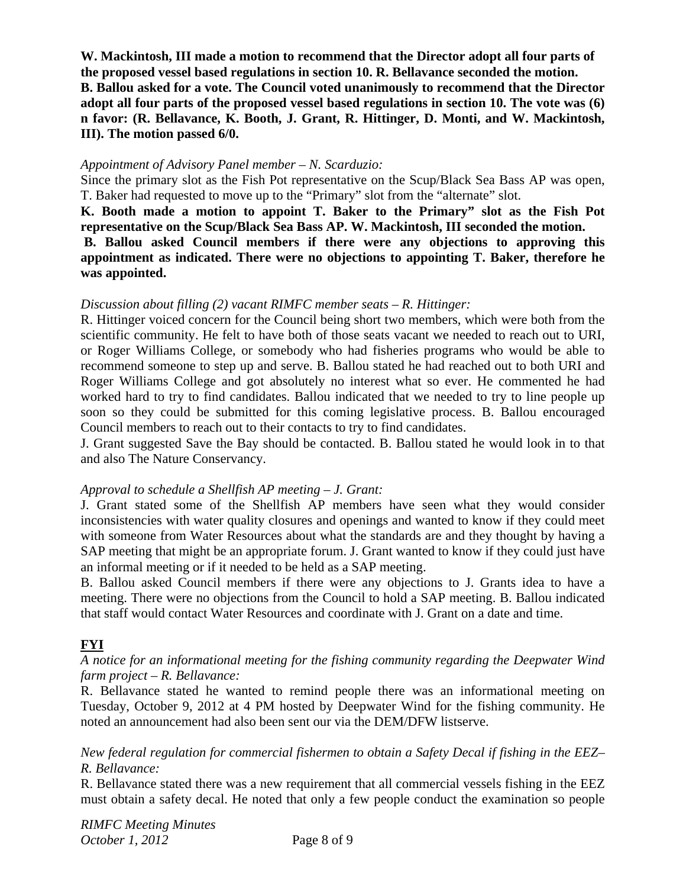**W. Mackintosh, III made a motion to recommend that the Director adopt all four parts of the proposed vessel based regulations in section 10. R. Bellavance seconded the motion. B. Ballou asked for a vote. The Council voted unanimously to recommend that the Director adopt all four parts of the proposed vessel based regulations in section 10. The vote was (6) n favor: (R. Bellavance, K. Booth, J. Grant, R. Hittinger, D. Monti, and W. Mackintosh, III). The motion passed 6/0.** 

### *Appointment of Advisory Panel member – N. Scarduzio:*

Since the primary slot as the Fish Pot representative on the Scup/Black Sea Bass AP was open, T. Baker had requested to move up to the "Primary" slot from the "alternate" slot.

**K. Booth made a motion to appoint T. Baker to the Primary" slot as the Fish Pot representative on the Scup/Black Sea Bass AP. W. Mackintosh, III seconded the motion.** 

### **B. Ballou asked Council members if there were any objections to approving this appointment as indicated. There were no objections to appointing T. Baker, therefore he was appointed.**

#### *Discussion about filling (2) vacant RIMFC member seats – R. Hittinger:*

R. Hittinger voiced concern for the Council being short two members, which were both from the scientific community. He felt to have both of those seats vacant we needed to reach out to URI, or Roger Williams College, or somebody who had fisheries programs who would be able to recommend someone to step up and serve. B. Ballou stated he had reached out to both URI and Roger Williams College and got absolutely no interest what so ever. He commented he had worked hard to try to find candidates. Ballou indicated that we needed to try to line people up soon so they could be submitted for this coming legislative process. B. Ballou encouraged Council members to reach out to their contacts to try to find candidates.

J. Grant suggested Save the Bay should be contacted. B. Ballou stated he would look in to that and also The Nature Conservancy.

### *Approval to schedule a Shellfish AP meeting – J. Grant:*

J. Grant stated some of the Shellfish AP members have seen what they would consider inconsistencies with water quality closures and openings and wanted to know if they could meet with someone from Water Resources about what the standards are and they thought by having a SAP meeting that might be an appropriate forum. J. Grant wanted to know if they could just have an informal meeting or if it needed to be held as a SAP meeting.

B. Ballou asked Council members if there were any objections to J. Grants idea to have a meeting. There were no objections from the Council to hold a SAP meeting. B. Ballou indicated that staff would contact Water Resources and coordinate with J. Grant on a date and time.

### **FYI**

### *A notice for an informational meeting for the fishing community regarding the Deepwater Wind farm project – R. Bellavance:*

R. Bellavance stated he wanted to remind people there was an informational meeting on Tuesday, October 9, 2012 at 4 PM hosted by Deepwater Wind for the fishing community. He noted an announcement had also been sent our via the DEM/DFW listserve.

*New federal regulation for commercial fishermen to obtain a Safety Decal if fishing in the EEZ– R. Bellavance:* 

R. Bellavance stated there was a new requirement that all commercial vessels fishing in the EEZ must obtain a safety decal. He noted that only a few people conduct the examination so people